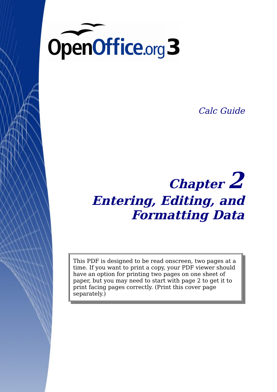

Calc Guide

# **Chapter 2 Entering, Editing, and Formatting Data**

This PDF is designed to be read onscreen, two pages at a time. If you want to print a copy, your PDF viewer should have an option for printing two pages on one sheet of paper, but you may need to start with page 2 to get it to print facing pages correctly. (Print this cover page separately.)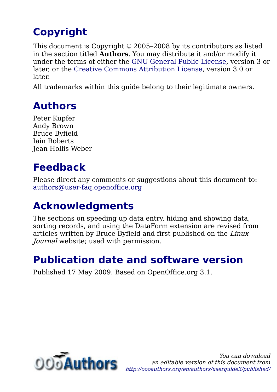# <span id="page-1-0"></span>**Copyright**

This document is Copyright © 2005–2008 by its contributors as listed in the section titled **Authors**. You may distribute it and/or modify it under the terms of either the [GNU General Public License,](http://www.gnu.org/licenses/gpl.html) version 3 or later, or the [Creative Commons Attribution License,](http://creativecommons.org/licenses/by/3.0/) version 3.0 or later.

All trademarks within this guide belong to their legitimate owners.

# **Authors**

Peter Kupfer Andy Brown Bruce Byfield Iain Roberts Jean Hollis Weber

# **Feedback**

Please direct any comments or suggestions about this document to: [authors@user-faq.openoffice.org](mailto:authors@user-faq.openoffice.org)

# **Acknowledgments**

The sections on speeding up data entry, hiding and showing data, sorting records, and using the DataForm extension are revised from articles written by Bruce Byfield and first published on the Linux Journal website; used with permission.

# **Publication date and software version**

Published 17 May 2009. Based on OpenOffice.org 3.1.



You can download an editable version of this document from <http://oooauthors.org/en/authors/userguide3/published/>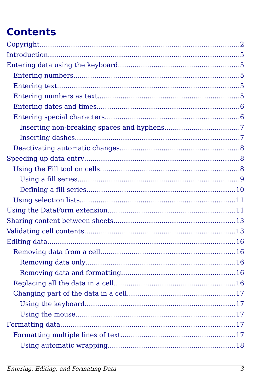# **Contents**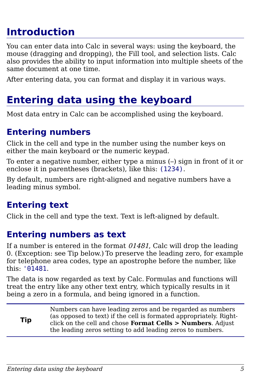# <span id="page-4-4"></span>**Introduction**

You can enter data into Calc in several ways: using the keyboard, the mouse (dragging and dropping), the Fill tool, and selection lists. Calc also provides the ability to input information into multiple sheets of the same document at one time.

After entering data, you can format and display it in various ways.

# <span id="page-4-3"></span>**Entering data using the keyboard**

Most data entry in Calc can be accomplished using the keyboard.

### <span id="page-4-2"></span>**Entering numbers**

Click in the cell and type in the number using the number keys on either the main keyboard or the numeric keypad.

To enter a negative number, either type a minus (–) sign in front of it or enclose it in parentheses (brackets), like this: (1234).

By default, numbers are right-aligned and negative numbers have a leading minus symbol.

### <span id="page-4-1"></span>**Entering text**

**Tip**

Click in the cell and type the text. Text is left-aligned by default.

### <span id="page-4-0"></span>**Entering numbers as text**

If a number is entered in the format  $01481$ , Calc will drop the leading 0. (Exception: see Tip below.) To preserve the leading zero, for example for telephone area codes, type an apostrophe before the number, like this: '01481.

The data is now regarded as text by Calc. Formulas and functions will treat the entry like any other text entry, which typically results in it being a zero in a formula, and being ignored in a function.

> Numbers can have leading zeros and be regarded as numbers (as opposed to text) if the cell is formated appropriately. Rightclick on the cell and chose **Format Cells > Numbers**. Adjust the leading zeros setting to add leading zeros to numbers.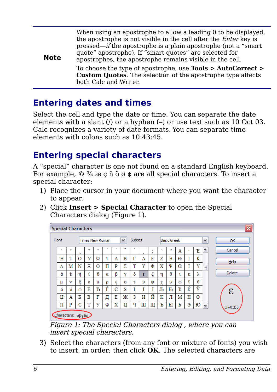| <b>Note</b> | When using an apostrophe to allow a leading 0 to be displayed,<br>the apostrophe is not visible in the cell after the <i>Enter</i> key is<br>pressed—if the apostrophe is a plain apostrophe (not a "smart"<br>quote" apostrophe). If "smart quotes" are selected for<br>apostrophes, the apostrophe remains visible in the cell. |
|-------------|-----------------------------------------------------------------------------------------------------------------------------------------------------------------------------------------------------------------------------------------------------------------------------------------------------------------------------------|
|             | To choose the type of apostrophe, use <b>Tools &gt; AutoCorrect &gt;</b><br><b>Custom Quotes.</b> The selection of the apostrophe type affects<br>both Calc and Writer.                                                                                                                                                           |

### <span id="page-5-1"></span>**Entering dates and times**

Select the cell and type the date or time. You can separate the date elements with a slant (*/*) or a hyphen (-) or use text such as 10 Oct 03. Calc recognizes a variety of date formats. You can separate time elements with colons such as 10:43:45.

### <span id="page-5-0"></span>**Entering special characters**

A "special" character is one not found on a standard English keyboard. For example,  $\odot$   $\frac{3}{4}$  æ c  $\ddot{\text{n}}$   $\ddot{\text{o}}$   $\phi$  are all special characters. To insert a special character:

- 1) Place the cursor in your document where you want the character to appear.
- 2) Click **Insert > Special Character** to open the Special Characters dialog [\(Figure 1\)](#page-5-2).

| ≅<br><b>Special Characters</b> |   |    |        |                        |   |   |              |        |                |             |   |                    |   |   |                 |                       |               |
|--------------------------------|---|----|--------|------------------------|---|---|--------------|--------|----------------|-------------|---|--------------------|---|---|-----------------|-----------------------|---------------|
| Font                           |   |    |        | <b>Times New Roman</b> |   |   | $\checkmark$ | Subset |                |             |   | <b>Basic Greek</b> |   |   |                 | v                     | OK            |
| $\blacksquare$                 | ۰ | ×. | $\sim$ | $\ddot{\phantom{1}}$   |   |   | ×.           |        | $\blacksquare$ | $\sim$<br>٠ | ٠ | a Ba               | Ά |   | Έ               | $\blacktriangleright$ | Cancel        |
| Ή                              | Ί | Ό  | Υ      | Ω                      | î | Α | В            | Г      | Δ              | E           | Z | Н                  | Θ | I | K               |                       | Help          |
| Λ                              | M | N  | Ξ      | O                      | П | P | Σ            | т      | Y              | Φ           | х | Ψ                  | Ω | Ï | Ÿ               | $\equiv$              |               |
| ά                              | έ | ή  | ί      | ΰ                      | α | β | ν            | δ      | ε              | v<br>ι.     | η | θ                  | ι | к | λ               |                       | <b>Delete</b> |
| μ                              | v | ξ  | o      | π                      | ρ | ς | σ            | τ      | υ              | Ф           | χ | Ψ                  | ∞ | ï | ΰ               |                       |               |
| ó                              | ΰ | ó  | Ë      | ъ                      | ŕ | e | S            |        | Ï              | J           | Љ | Њ                  | ħ | Ŕ | ÿ               |                       | ε             |
| IJ                             | A | Б  | B      | Г                      | Д | E | Ж            | 3      | И              | й           | К | Л                  | M | Η | O               |                       |               |
| Π                              | P | C  | T      | У                      | Ф | X | П            | ч      | Ш              | Ш           | Ъ | Ы                  | Ь | э | $\overline{10}$ |                       | U+03B5        |
| Characters: αβγδε              |   |    |        |                        |   |   |              |        |                |             |   |                    |   |   |                 |                       |               |

<span id="page-5-2"></span>Figure 1: The Special Characters dialog , where you can insert special characters.

3) Select the characters (from any font or mixture of fonts) you wish to insert, in order; then click **OK**. The selected characters are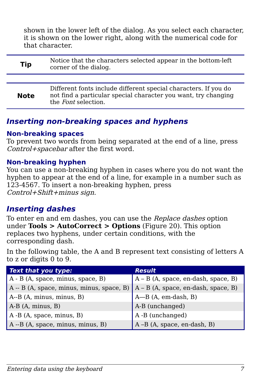shown in the lower left of the dialog. As you select each character, it is shown on the lower right, along with the numerical code for that character.

| Tip         | Notice that the characters selected appear in the bottom-left<br>corner of the dialog.                                                                          |
|-------------|-----------------------------------------------------------------------------------------------------------------------------------------------------------------|
|             |                                                                                                                                                                 |
| <b>Note</b> | Different fonts include different special characters. If you do<br>not find a particular special character you want, try changing<br>the <i>Font</i> selection. |

#### <span id="page-6-1"></span>**Inserting non-breaking spaces and hyphens**

#### **Non-breaking spaces**

To prevent two words from being separated at the end of a line, press Control+spacebar after the first word.

#### **Non-breaking hyphen**

You can use a non-breaking hyphen in cases where you do not want the hyphen to appear at the end of a line, for example in a number such as 123-4567. To insert a non-breaking hyphen, press Control+Shift+minus sign.

#### <span id="page-6-0"></span>**Inserting dashes**

To enter en and em dashes, you can use the Replace dashes option under **Tools > AutoCorrect > Options** [\(Figure 20\)](#page-20-2). This option replaces two hyphens, under certain conditions, with the corresponding dash.

In the following table, the A and B represent text consisting of letters A to z or digits 0 to 9.

| <b>Text that you type:</b>                                                       | <b>Result</b>                         |
|----------------------------------------------------------------------------------|---------------------------------------|
| A - B (A, space, minus, space, B)                                                | $A - B$ (A, space, en-dash, space, B) |
| A -- B (A, space, minus, minus, space, B) $ A - B(A, space, en-dash, space, B) $ |                                       |
| $A$ --B $(A, minus, minus, B)$                                                   | $A$ — $B$ (A, em-dash, B)             |
| $A-B(A, minus, B)$                                                               | A-B (unchanged)                       |
| A -B (A, space, minus, B)                                                        | A -B (unchanged)                      |
| A --B (A, space, minus, minus, B)                                                | A-B (A, space, en-dash, B)            |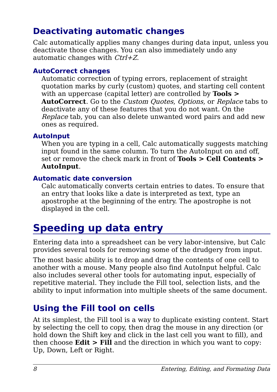### <span id="page-7-2"></span>**Deactivating automatic changes**

Calc automatically applies many changes during data input, unless you deactivate those changes. You can also immediately undo any automatic changes with  $Ctrl + Z$ .

#### **AutoCorrect changes**

Automatic correction of typing errors, replacement of straight quotation marks by curly (custom) quotes, and starting cell content with an uppercase (capital letter) are controlled by **Tools > AutoCorrect**. Go to the Custom Quotes, Options, or Replace tabs to deactivate any of these features that you do not want. On the Replace tab, you can also delete unwanted word pairs and add new ones as required.

#### **AutoInput**

When you are typing in a cell, Calc automatically suggests matching input found in the same column. To turn the AutoInput on and off, set or remove the check mark in front of **Tools > Cell Contents > AutoInput**.

#### **Automatic date conversion**

Calc automatically converts certain entries to dates. To ensure that an entry that looks like a date is interpreted as text, type an apostrophe at the beginning of the entry. The apostrophe is not displayed in the cell.

# <span id="page-7-1"></span>**Speeding up data entry**

Entering data into a spreadsheet can be very labor-intensive, but Calc provides several tools for removing some of the drudgery from input.

The most basic ability is to drop and drag the contents of one cell to another with a mouse. Many people also find AutoInput helpful. Calc also includes several other tools for automating input, especially of repetitive material. They include the Fill tool, selection lists, and the ability to input information into multiple sheets of the same document.

### <span id="page-7-0"></span>**Using the Fill tool on cells**

At its simplest, the Fill tool is a way to duplicate existing content. Start by selecting the cell to copy, then drag the mouse in any direction (or hold down the Shift key and click in the last cell you want to fill), and then choose **Edit > Fill** and the direction in which you want to copy: Up, Down, Left or Right.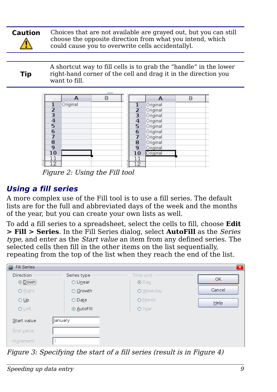

**Caution** Choices that are not available are grayed out, but you can still choose the opposite direction from what you intend, which could cause you to overwrite cells accidentallyl.

**Tip**

A shortcut way to fill cells is to grab the "handle" in the lower right-hand corner of the cell and drag it in the direction you want to fill.

|                |          |  |                                                                  |          | В |
|----------------|----------|--|------------------------------------------------------------------|----------|---|
|                | Original |  |                                                                  | Original |   |
| $\frac{2}{3}$  |          |  |                                                                  | Original |   |
|                |          |  | $\frac{2}{3}$<br>$\frac{3}{4}$<br>$\frac{4}{5}$<br>$\frac{6}{7}$ | Original |   |
| $\overline{4}$ |          |  |                                                                  | Original |   |
| 5              |          |  |                                                                  | Original |   |
| 6              |          |  |                                                                  | Original |   |
|                |          |  |                                                                  | Original |   |
| 8              |          |  | 8                                                                | Original |   |
| 9              |          |  | 9                                                                | Original |   |
| 10             |          |  | 10                                                               | Original |   |
| 11             |          |  | 11                                                               |          |   |
| 12             |          |  | 12                                                               |          |   |

Figure 2: Using the Fill tool

### <span id="page-8-0"></span>**Using a fill series**

A more complex use of the Fill tool is to use a fill series. The default lists are for the full and abbreviated days of the week and the months of the year, but you can create your own lists as well.

To add a fill series to a spreadsheet, select the cells to fill, choose **Edit > Fill > Series**. In the Fill Series dialog, select **AutoFill** as the Series type, and enter as the *Start value* an item from any defined series. The selected cells then fill in the other items on the list sequentially, repeating from the top of the list when they reach the end of the list.

| $\overline{E}$<br><b>Fill Series</b> |                                  |                            | $\overline{\mathsf{x}}$ |
|--------------------------------------|----------------------------------|----------------------------|-------------------------|
| Direction<br>$\odot$ <i>Down</i>     | Series type<br>$\bigcirc$ Linear | Time unit -<br>$\odot$ Day | OK                      |
| O Right                              | ○ Growth                         | O Weekday                  | Cancel                  |
| $\bigcirc$ Up                        | $\bigcirc$ Date                  | O Month                    | $He$ lp                 |
| $O$ Left                             | ⊙ <u>A</u> utoFill               | O Year                     |                         |
| Start value                          | January                          |                            |                         |
| End value                            |                                  |                            |                         |
| Increment                            |                                  |                            |                         |

<span id="page-8-1"></span>Figure 3: Specifying the start of a fill series (result is in [Figure 4](#page-9-1))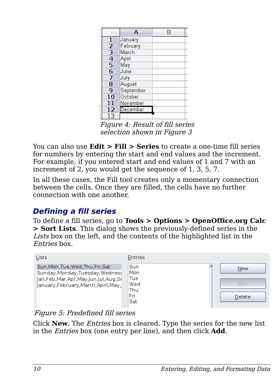|               | А         | B |
|---------------|-----------|---|
| 1             | January   |   |
| $\frac{2}{3}$ | February  |   |
|               | March     |   |
| 4             | April     |   |
| 5             | May       |   |
| 6             | June      |   |
| 7             | July      |   |
| 8             | August    |   |
| 9             | September |   |
| 10            | October   |   |
| 11            | Nov ember |   |
| 12            | December  |   |
| 13            |           |   |

<span id="page-9-1"></span>Figure 4: Result of fill series selection shown in [Figure 3](#page-8-1)

You can also use **Edit > Fill > Series** to create a one-time fill series for numbers by entering the start and end values and the increment. For example, if you entered start and end values of 1 and 7 with an increment of 2, you would get the sequence of 1, 3, 5, 7.

In all these cases, the Fill tool creates only a momentary connection between the cells. Once they are filled, the cells have no further connection with one another.

#### <span id="page-9-0"></span>**Defining a fill series**

To define a fill series, go to **Tools > Options > OpenOffice.org Calc > Sort Lists**. This dialog shows the previously-defined series in the Lists box on the left, and the contents of the highlighted list in the Entries box.

| Lists                                                                                                                                                | Entries                  |            |
|------------------------------------------------------------------------------------------------------------------------------------------------------|--------------------------|------------|
| Sun, Mon, Tue, Wed, Thu, Fri, Sat<br>Sunday, Monday, Tuesday, Wednesd<br>Jan,Feb,Mar,Apr,May,Jun,Jul,Aug,Se<br>January, February, March, April, May, | Sun<br>Mon<br>Tue<br>Wed | New<br>Add |
|                                                                                                                                                      | Thu<br>Fri<br>Sat        | Delete     |

#### Figure 5: Predefined fill series

Click **New**. The Entries box is cleared. Type the series for the new list in the Entries box (one entry per line), and then click **Add**.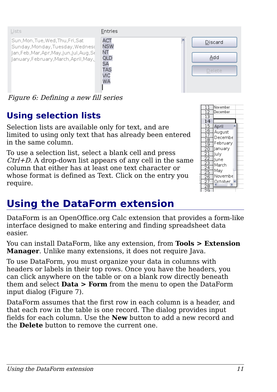| Lists                                                                       | Entries           |                    |
|-----------------------------------------------------------------------------|-------------------|--------------------|
| Sun,Mon,Tue,Wed,Thu,Fri,Sat<br>Sunday, Monday, Tuesday, Wednesd             | ACT<br>NSW        | Discard            |
| Jan,Feb,Mar,Apr,May,Jun,Jul,Aug,Sє<br>January, February, March, April, May, | NΤ<br>QLD<br>SA   | Add                |
|                                                                             | <b>TAS</b><br>VIC | Delete <sup></sup> |
|                                                                             | WA                |                    |

Figure 6: Defining a new fill series

### <span id="page-10-1"></span>**Using selection lists**

Selection lists are available only for text, and are limited to using only text that has already been entered in the same column.

To use a selection list, select a blank cell and press  $Ctrl+D$ . A drop-down list appears of any cell in the same column that either has at least one text character or whose format is defined as Text. Click on the entry you require.



# <span id="page-10-0"></span>**Using the DataForm extension**

DataForm is an OpenOffice.org Calc extension that provides a form-like interface designed to make entering and finding spreadsheet data easier.

You can install DataForm, like any extension, from **Tools > Extension Manager**. Unlike many extensions, it does not require Java.

To use DataForm, you must organize your data in columns with headers or labels in their top rows. Once you have the headers, you can click anywhere on the table or on a blank row directly beneath them and select **Data > Form** from the menu to open the DataForm input dialog [\(Figure 7\)](#page-11-0).

DataForm assumes that the first row in each column is a header, and that each row in the table is one record. The dialog provides input fields for each column. Use the **New** button to add a new record and the **Delete** button to remove the current one.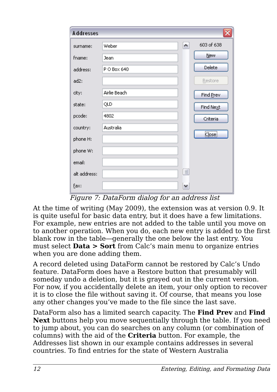| <b>Addresses</b> |              |          |            |
|------------------|--------------|----------|------------|
| surname:         | Weber        | ۸        | 603 of 638 |
| fname:           | Jean         |          | New        |
| address:         | P O Box 640  |          | Delete     |
| ad2:             |              |          | Restore    |
| city:            | Airlie Beach |          | Find Prev  |
| state:           | QLD          |          | Find Next  |
| pcode:           | 4802         |          | Criteria   |
| country:         | Australia    |          | Close)     |
| phone H:         |              |          |            |
| phone W:         |              |          |            |
| email:           |              |          |            |
| alt address:     |              | $\equiv$ |            |
| fax:             |              |          |            |

<span id="page-11-0"></span>Figure 7: DataForm dialog for an address list

At the time of writing (May 2009), the extension was at version 0.9. It is quite useful for basic data entry, but it does have a few limitations. For example, new entries are not added to the table until you move on to another operation. When you do, each new entry is added to the first blank row in the table—generally the one below the last entry. You must select **Data > Sort** from Calc's main menu to organize entries when you are done adding them.

A record deleted using DataForm cannot be restored by Calc's Undo feature. DataForm does have a Restore button that presumably will someday undo a deletion, but it is grayed out in the current version. For now, if you accidentally delete an item, your only option to recover it is to close the file without saving it. Of course, that means you lose any other changes you've made to the file since the last save.

DataForm also has a limited search capacity. The **Find Prev** and **Find Next** buttons help you move sequentially through the table. If you need to jump about, you can do searches on any column (or combination of columns) with the aid of the **Criteria** button. For example, the Addresses list shown in our example contains addresses in several countries. To find entries for the state of Western Australia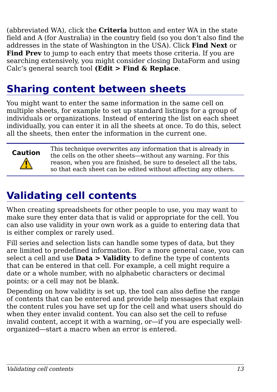(abbreviated WA), click the **Criteria** button and enter WA in the state field and A (for Australia) in the country field (so you don't also find the addresses in the state of Washington in the USA). Click **Find Next** or **Find Prev** to jump to each entry that meets those criteria. If you are searching extensively, you might consider closing DataForm and using Calc's general search tool **(Edit > Find & Replace**.

# <span id="page-12-1"></span>**Sharing content between sheets**

You might want to enter the same information in the same cell on multiple sheets, for example to set up standard listings for a group of individuals or organizations. Instead of entering the list on each sheet individually, you can enter it in all the sheets at once. To do this, select all the sheets, then enter the information in the current one.

**Caution** This technique overwrites any information that is already in the cells on the other sheets—without any warning. For this reason, when you are finished, be sure to deselect all the tabs, so that each sheet can be edited without affecting any others.

# <span id="page-12-0"></span>**Validating cell contents**

When creating spreadsheets for other people to use, you may want to make sure they enter data that is valid or appropriate for the cell. You can also use validity in your own work as a guide to entering data that is either complex or rarely used.

Fill series and selection lists can handle some types of data, but they are limited to predefined information. For a more general case, you can select a cell and use **Data > Validity** to define the type of contents that can be entered in that cell. For example, a cell might require a date or a whole number, with no alphabetic characters or decimal points; or a cell may not be blank.

Depending on how validity is set up, the tool can also define the range of contents that can be entered and provide help messages that explain the content rules you have set up for the cell and what users should do when they enter invalid content. You can also set the cell to refuse invalid content, accept it with a warning, or—if you are especially wellorganized—start a macro when an error is entered.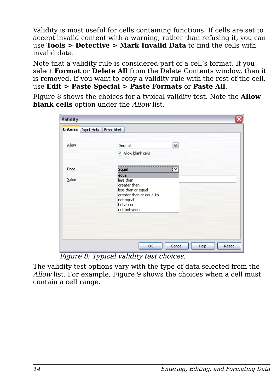Validity is most useful for cells containing functions. If cells are set to accept invalid content with a warning, rather than refusing it, you can use **Tools > Detective > Mark Invalid Data** to find the cells with invalid data.

Note that a validity rule is considered part of a cell's format. If you select **Format** or **Delete All** from the Delete Contents window, then it is removed. If you want to copy a validity rule with the rest of the cell, use **Edit > Paste Special > Paste Formats** or **Paste All**.

Figure [8](#page-13-0) shows the choices for a typical validity test. Note the **Allow blank cells** option under the *Allow* list.

| Validity | ≅                                                                                                                             |
|----------|-------------------------------------------------------------------------------------------------------------------------------|
| Criteria | Input Help<br>Error Alert                                                                                                     |
| Allow    | Decimal<br>٧<br>Allow blank cells                                                                                             |
| Data     | lv.<br>legual                                                                                                                 |
| Value    | equal<br>lless than.<br>greater than<br>less than or equal<br>greater than or equal to<br>not equal<br>between<br>not between |
|          | Cancel<br>ОК<br>Help<br>Reset                                                                                                 |

<span id="page-13-0"></span>Figure 8: Typical validity test choices.

The validity test options vary with the type of data selected from the Allow list. For example, Figure [9](#page-14-0) shows the choices when a cell must contain a cell range.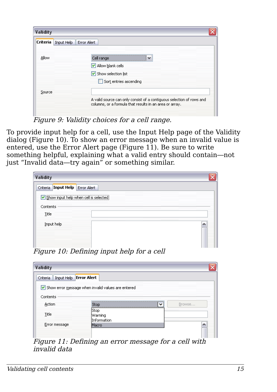| Validity |                                                                                                                                  |  |  |  |  |
|----------|----------------------------------------------------------------------------------------------------------------------------------|--|--|--|--|
| Criteria | Input Help<br><b>Error Alert</b>                                                                                                 |  |  |  |  |
| Allow    | Cell range<br>v<br>Allow blank cells                                                                                             |  |  |  |  |
|          | $\triangledown$ Show selection list<br>Sort entries ascending                                                                    |  |  |  |  |
| Source   | A valid source can only consist of a contiguous selection of rows and<br>columns, or a formula that results in an area or array. |  |  |  |  |

<span id="page-14-0"></span>Figure 9: Validity choices for a cell range.

To provide input help for a cell, use the Input Help page of the Validity dialog (Figure [10\)](#page-14-2). To show an error message when an invalid value is entered, use the Error Alert page (Figure [11\)](#page-14-1). Be sure to write something helpful, explaining what a valid entry should contain—not just "Invalid data—try again" or something similar.

| Validity                              |  |
|---------------------------------------|--|
| Criteria Input Help Error Alert       |  |
| Show input help when cell is selected |  |
| Contents                              |  |
| Iitle                                 |  |
| Input help                            |  |
|                                       |  |
|                                       |  |

<span id="page-14-2"></span>Figure 10: Defining input help for a cell

| Validity                                  |                                                    |        |  |  |  |  |  |
|-------------------------------------------|----------------------------------------------------|--------|--|--|--|--|--|
| Input Help <b>Error Alert</b><br>Criteria |                                                    |        |  |  |  |  |  |
|                                           | Show error message when invalid values are entered |        |  |  |  |  |  |
| Contents                                  |                                                    |        |  |  |  |  |  |
| Action                                    | Stop<br>v                                          | Browse |  |  |  |  |  |
| Title                                     | Stop<br> Warning<br>Information                    |        |  |  |  |  |  |
| Error message                             | Macro                                              |        |  |  |  |  |  |
|                                           |                                                    |        |  |  |  |  |  |

<span id="page-14-1"></span>Figure 11: Defining an error message for a cell with invalid data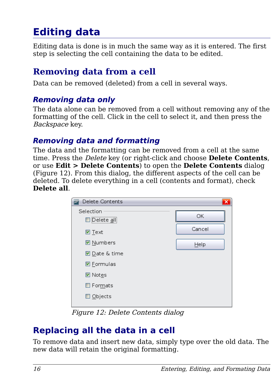# <span id="page-15-4"></span>**Editing data**

Editing data is done is in much the same way as it is entered. The first step is selecting the cell containing the data to be edited.

### <span id="page-15-3"></span>**Removing data from a cell**

Data can be removed (deleted) from a cell in several ways.

#### <span id="page-15-2"></span>**Removing data only**

The data alone can be removed from a cell without removing any of the formatting of the cell. Click in the cell to select it, and then press the Backspace key.

#### <span id="page-15-1"></span>**Removing data and formatting**

The data and the formatting can be removed from a cell at the same time. Press the Delete key (or right-click and choose **Delete Contents**, or use **Edit > Delete Contents**) to open the **Delete Contents** dialog [\(Figure 12\)](#page-15-5). From this dialog, the different aspects of the cell can be deleted. To delete everything in a cell (contents and format), check **Delete all**.

| Delete Contents         |         |
|-------------------------|---------|
| Selection<br>Delete all | OK      |
| <b>☑</b> Text           | Cancel  |
| ☑ Numbers               | $He$ lp |
| ☑ Date & time           |         |
| ☑ Formulas              |         |
| <b>▽</b> Notes          |         |
| $\Box$ Formats          |         |
| □ Objects               |         |

<span id="page-15-5"></span>Figure 12: Delete Contents dialog

### <span id="page-15-0"></span>**Replacing all the data in a cell**

To remove data and insert new data, simply type over the old data. The new data will retain the original formatting.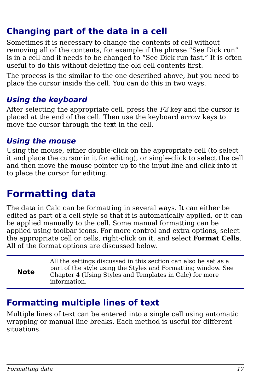### <span id="page-16-4"></span>**Changing part of the data in a cell**

Sometimes it is necessary to change the contents of cell without removing all of the contents, for example if the phrase "See Dick run" is in a cell and it needs to be changed to "See Dick run fast." It is often useful to do this without deleting the old cell contents first.

The process is the similar to the one described above, but you need to place the cursor inside the cell. You can do this in two ways.

### <span id="page-16-3"></span>**Using the keyboard**

After selecting the appropriate cell, press the F2 key and the cursor is placed at the end of the cell. Then use the keyboard arrow keys to move the cursor through the text in the cell.

#### <span id="page-16-2"></span>**Using the mouse**

Using the mouse, either double-click on the appropriate cell (to select it and place the cursor in it for editing), or single-click to select the cell and then move the mouse pointer up to the input line and click into it to place the cursor for editing.

# <span id="page-16-1"></span>**Formatting data**

The data in Calc can be formatting in several ways. It can either be edited as part of a cell style so that it is automatically applied, or it can be applied manually to the cell. Some manual formatting can be applied using toolbar icons. For more control and extra options, select the appropriate cell or cells, right-click on it, and select **Format Cells**. All of the format options are discussed below.

**Note** All the settings discussed in this section can also be set as a part of the style using the Styles and Formatting window. See Chapter 4 (Using Styles and Templates in Calc) for more information.

### <span id="page-16-0"></span>**Formatting multiple lines of text**

Multiple lines of text can be entered into a single cell using automatic wrapping or manual line breaks. Each method is useful for different situations.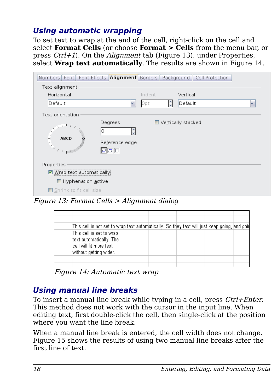#### <span id="page-17-0"></span>**Using automatic wrapping**

To set text to wrap at the end of the cell, right-click on the cell and select **Format Cells** (or choose **Format > Cells** from the menu bar, or press  $Ctrl + 1$ ). On the *Alignment* tab [\(Figure 13\)](#page-17-3), under Properties, select **Wrap text automatically**. The results are shown in [Figure 14.](#page-17-2)

| Numbers   Font   Font Effects   Alignment Borders   Background |                          |        |               | Cell Protection    |   |
|----------------------------------------------------------------|--------------------------|--------|---------------|--------------------|---|
| Text alignment                                                 |                          |        |               |                    |   |
| Horizontal                                                     |                          | Indent |               | Vertical           |   |
| Default                                                        | v                        | Opt    | $\hat{\cdot}$ | Default            | v |
| Text orientation                                               |                          |        |               |                    |   |
|                                                                | Degrees<br>$\hat{\cdot}$ |        |               | Vertically stacked |   |
| <b>Country</b><br><b>ABCD</b><br>$\circ$                       | Reference edge<br>$\Box$ |        |               |                    |   |
| Properties                                                     |                          |        |               |                    |   |
| ☑ Wrap text automatically                                      |                          |        |               |                    |   |
| Hyphenation active                                             |                          |        |               |                    |   |
| Shrink to fit cell size                                        |                          |        |               |                    |   |

Figure 13: Format Cells > Alignment dialog

<span id="page-17-3"></span>

| This cell is not set to w∤ap text automatically. So they text will just keep going, and goir              |  |  |  |
|-----------------------------------------------------------------------------------------------------------|--|--|--|
| This cell is set to wrap<br>text automatically. The<br>lcell will fit more text<br>without getting wider. |  |  |  |
|                                                                                                           |  |  |  |
|                                                                                                           |  |  |  |

<span id="page-17-2"></span>Figure 14: Automatic text wrap

### <span id="page-17-1"></span>**Using manual line breaks**

To insert a manual line break while typing in a cell, press Ctrl+Enter. This method does not work with the cursor in the input line. When editing text, first double-click the cell, then single-click at the position where you want the line break.

When a manual line break is entered, the cell width does not change. [Figure 15](#page-18-2) shows the results of using two manual line breaks after the first line of text.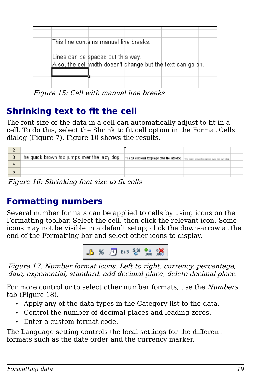| This line contains manual line breaks.                                                           |  |  |
|--------------------------------------------------------------------------------------------------|--|--|
| Lines can be spaced out this way.<br>Also, the cell width doesn't change but the text can go on. |  |  |
|                                                                                                  |  |  |
|                                                                                                  |  |  |

<span id="page-18-2"></span>Figure 15: Cell with manual line breaks

### <span id="page-18-1"></span>**Shrinking text to fit the cell**

The font size of the data in a cell can automatically adjust to fit in a cell. To do this, select the Shrink to fit cell option in the Format Cells dialog (Figure 7). Figure 10 shows the results.

| <u>.</u> |                                                |                                                                                           |  |
|----------|------------------------------------------------|-------------------------------------------------------------------------------------------|--|
| 3        | The quick brown fox jumps over the lazy dog. I | The quick brown fox jumps over the lazy dog. The quick brown fox jumps over the lazy dog. |  |
|          |                                                |                                                                                           |  |
|          |                                                |                                                                                           |  |
|          |                                                |                                                                                           |  |

Figure 16: Shrinking font size to fit cells

### <span id="page-18-0"></span>**Formatting numbers**

Several number formats can be applied to cells by using icons on the Formatting toolbar. Select the cell, then click the relevant icon. Some icons may not be visible in a default setup; click the down-arrow at the end of the Formatting bar and select other icons to display.



Figure 17: Number format icons. Left to right: currency, percentage, date, exponential, standard, add decimal place, delete decimal place.

For more control or to select other number formats, use the Numbers tab [\(Figure 18\)](#page-19-1).

- Apply any of the data types in the Category list to the data.
- Control the number of decimal places and leading zeros.
- Enter a custom format code.

The Language setting controls the local settings for the different formats such as the date order and the currency marker.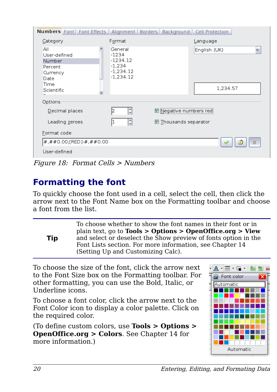| <b>Numbers</b> Font Font Effects                                                                              | Alignment<br><b>Borders</b>                                                | Background<br>Cell Protection |
|---------------------------------------------------------------------------------------------------------------|----------------------------------------------------------------------------|-------------------------------|
| Category                                                                                                      | Format                                                                     | Language                      |
| ΑIΙ<br>User-defined<br>Number<br>Percent<br>Currency<br>Date<br>Time<br>Scientific<br>$\overline{\mathbf{v}}$ | General<br>$-1234$<br>$-1234.12$<br>$-1,234$<br>$-1,234.12$<br>$-1,234.12$ | English (UK)<br>v<br>1,234.57 |
| Options                                                                                                       |                                                                            |                               |
| Decimal places                                                                                                | $\hat{\cdot}$<br>2                                                         | ☑ Negative numbers red        |
| Leading zeroes                                                                                                | $\hat{\bm{\cdot}}$<br>T                                                    | ◘ Thousands separator         |
| Format code                                                                                                   |                                                                            |                               |
| #,##0.00;[RED]-#,##0.00                                                                                       |                                                                            | 面                             |
| User-defined                                                                                                  |                                                                            |                               |

<span id="page-19-1"></span>Figure 18: Format Cells > Numbers

### <span id="page-19-0"></span>**Formatting the font**

To quickly choose the font used in a cell, select the cell, then click the arrow next to the Font Name box on the Formatting toolbar and choose a font from the list.

To choose the size of the font, click the arrow next to the Font Size box on the Formatting toolbar. For other formatting, you can use the Bold, Italic, or Underline icons.

To choose a font color, click the arrow next to the Font Color icon to display a color palette. Click on the required color.

(To define custom colors, use **Tools > Options > OpenOffice.org > Colors**. See Chapter 14 for more information.)

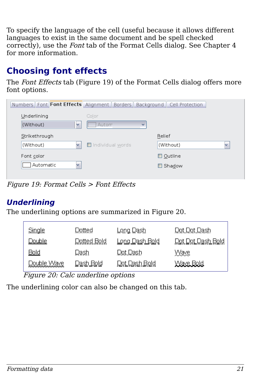To specify the language of the cell (useful because it allows different languages to exist in the same document and be spell checked correctly), use the Font tab of the Format Cells dialog. See Chapter 4 for more information.

## <span id="page-20-1"></span>**Choosing font effects**

The Font Effects tab [\(Figure 19\)](#page-20-3) of the Format Cells dialog offers more font options.

| Numbers Font Font Effects Alignment Borders | Background           | Cell Protection |
|---------------------------------------------|----------------------|-----------------|
| Underlining<br>(Without)<br>$\checkmark$    | Color<br>Autom.<br>ᢦ |                 |
| Strikethrough                               |                      | Relief          |
| (Without)<br>v                              | Individual words     | (Without)<br>v  |
| Font color                                  |                      | □ Outline       |
| $\checkmark$<br>Automatic                   |                      | $\Box$ Shadow   |
|                                             |                      |                 |

<span id="page-20-3"></span>Figure 19: Format Cells > Font Effects

### <span id="page-20-0"></span>**Underlining**

The underlining options are summarized in [Figure 20.](#page-20-2)

| <b>Single</b>      | Dotted      | <u>Long Dash</u>      | Dot Dot Dash      |
|--------------------|-------------|-----------------------|-------------------|
| <u>Double</u>      | Dotted Bold | <u>Long Dash Bold</u> | Dot Dot Dash Bold |
| Bold               | Dash        | Dot Dash              | yyaye,            |
| <u>Double Wave</u> | Dash Bold   | Dot Dash Bold         | YYave Bold        |

<span id="page-20-2"></span>Figure 20: Calc underline options

The underlining color can also be changed on this tab.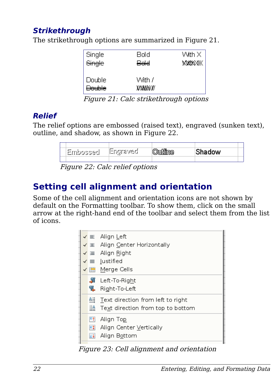### <span id="page-21-2"></span>**Strikethrough**

The strikethrough options are summarized in [Figure 21.](#page-21-4)

| Single | Bold                        | With X  |
|--------|-----------------------------|---------|
| Single | <del>Bold</del>             | XXXXXXX |
| Double | With /<br><i>VYAtiki II</i> |         |

<span id="page-21-4"></span>Figure 21: Calc strikethrough options

### <span id="page-21-1"></span>**Relief**

The relief options are embossed (raised text), engraved (sunken text), outline, and shadow, as shown in [Figure 22.](#page-21-3)

| Embossed                                           | Engraved |  | Shadow |  |  |  |
|----------------------------------------------------|----------|--|--------|--|--|--|
|                                                    |          |  |        |  |  |  |
| $E_{\text{GUP2}}$ 22 $\text{Colo}$ relief entience |          |  |        |  |  |  |

<span id="page-21-3"></span>Figure 22: Calc relief options

### <span id="page-21-0"></span>**Setting cell alignment and orientation**

Some of the cell alignment and orientation icons are not shown by default on the Formatting toolbar. To show them, click on the small arrow at the right-hand end of the toolbar and select them from the list of icons.

|  |                         | √ E Align Left                                             |
|--|-------------------------|------------------------------------------------------------|
|  |                         | v = Align Center Horizontally                              |
|  |                         | √ ≡ Align Right                                            |
|  |                         | $\sqrt{\equiv}$  ustified                                  |
|  |                         | $\sqrt{\frac{111}{111}}$ Merge Cells                       |
|  |                         | அி Left-To-Right                                           |
|  | TL.                     | Right-To-Left                                              |
|  |                         | $\underline{\mathbf{A}}$ Text direction from left to right |
|  | llA                     | Text direction from top to bottom                          |
|  | $E^*$                   | Align Top                                                  |
|  | $\equiv$ $\updownarrow$ | Align Center Vertically                                    |
|  | $\equiv \downarrow$     | Align Bottom                                               |
|  |                         |                                                            |

Figure 23: Cell alignment and orientation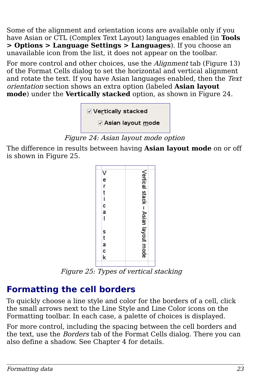Some of the alignment and orientation icons are available only if you have Asian or CTL (Complex Text Layout) languages enabled (in **Tools > Options > Language Settings > Languages**). If you choose an unavailable icon from the list, it does not appear on the toolbar.

For more control and other choices, use the *Alignment* tab [\(Figure 13\)](#page-17-3) of the Format Cells dialog to set the horizontal and vertical alignment and rotate the text. If you have Asian languages enabled, then the Text orientation section shows an extra option (labeled **Asian layout mode**) under the **Vertically stacked** option, as shown in [Figure 24.](#page-22-2)

☑ Vertically stacked

<span id="page-22-2"></span>☑ Asian layout mode

Figure 24: Asian layout mode option

The difference in results between having **Asian layout mode** on or off is shown in [Figure 25.](#page-22-1)



<span id="page-22-1"></span>Figure 25: Types of vertical stacking

### <span id="page-22-0"></span>**Formatting the cell borders**

To quickly choose a line style and color for the borders of a cell, click the small arrows next to the Line Style and Line Color icons on the Formatting toolbar. In each case, a palette of choices is displayed.

For more control, including the spacing between the cell borders and the text, use the Borders tab of the Format Cells dialog. There you can also define a shadow. See Chapter 4 for details.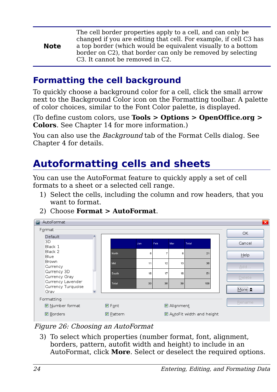| <b>Note</b> | The cell border properties apply to a cell, and can only be<br>changed if you are editing that cell. For example, if cell C3 has<br>a top border (which would be equivalent visually to a bottom<br>border on C2), that border can only be removed by selecting<br>C <sub>3</sub> . It cannot be removed in C <sub>2</sub> . |
|-------------|------------------------------------------------------------------------------------------------------------------------------------------------------------------------------------------------------------------------------------------------------------------------------------------------------------------------------|
|-------------|------------------------------------------------------------------------------------------------------------------------------------------------------------------------------------------------------------------------------------------------------------------------------------------------------------------------------|

### <span id="page-23-1"></span>**Formatting the cell background**

To quickly choose a background color for a cell, click the small arrow next to the Background Color icon on the Formatting toolbar. A palette of color choices, similar to the Font Color palette, is displayed.

(To define custom colors, use **Tools > Options > OpenOffice.org > Colors**. See Chapter 14 for more information.)

You can also use the *Background* tab of the Format Cells dialog. See Chapter 4 for details.

# <span id="page-23-0"></span>**Autoformatting cells and sheets**

You can use the AutoFormat feature to quickly apply a set of cell formats to a sheet or a selected cell range.

1) Select the cells, including the column and row headers, that you want to format.



2) Choose **Format > AutoFormat**.

Figure 26: Choosing an AutoFormat

3) To select which properties (number format, font, alignment, borders, pattern, autofit width and height) to include in an AutoFormat, click **More**. Select or deselect the required options.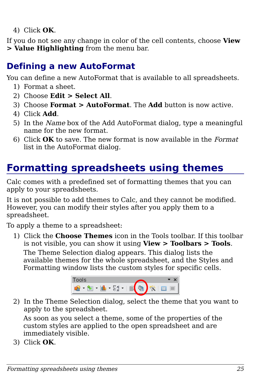#### 4) Click **OK**.

If you do not see any change in color of the cell contents, choose **View > Value Highlighting** from the menu bar.

## <span id="page-24-1"></span>**Defining a new AutoFormat**

You can define a new AutoFormat that is available to all spreadsheets.

- 1) Format a sheet.
- 2) Choose **Edit > Select All**.
- 3) Choose **Format > AutoFormat**. The **Add** button is now active.
- 4) Click **Add**.
- 5) In the Name box of the Add AutoFormat dialog, type a meaningful name for the new format.
- 6) Click **OK** to save. The new format is now available in the Format list in the AutoFormat dialog.

# <span id="page-24-0"></span>**Formatting spreadsheets using themes**

Calc comes with a predefined set of formatting themes that you can apply to your spreadsheets.

It is not possible to add themes to Calc, and they cannot be modified. However, you can modify their styles after you apply them to a spreadsheet.

To apply a theme to a spreadsheet:

1) Click the **Choose Themes** icon in the Tools toolbar. If this toolbar is not visible, you can show it using **View > Toolbars > Tools**. The Theme Selection dialog appears. This dialog lists the available themes for the whole spreadsheet, and the Styles and Formatting window lists the custom styles for specific cells.



2) In the Theme Selection dialog, select the theme that you want to apply to the spreadsheet.

As soon as you select a theme, some of the properties of the custom styles are applied to the open spreadsheet and are immediately visible.

3) Click **OK**.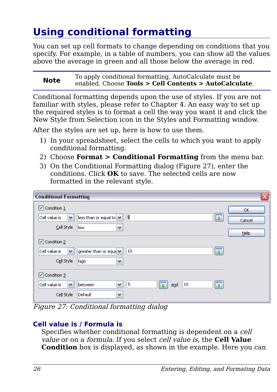# <span id="page-25-0"></span>**Using conditional formatting**

You can set up cell formats to change depending on conditions that you specify. For example, in a table of numbers, you can show all the values above the average in green and all those below the average in red.

**Note** To apply conditional formatting, AutoCalculate must be enabled. Choose **Tools > Cell Contents > AutoCalculate**.

Conditional formatting depends upon the use of styles. If you are not familiar with styles, please refer to Chapter 4. An easy way to set up the required styles is to format a cell the way you want it and click the New Style from Selection icon in the Styles and Formatting window.

After the styles are set up, here is how to use them.

- 1) In your spreadsheet, select the cells to which you want to apply conditional formatting.
- 2) Choose **Format > Conditional Formatting** from the menu bar.
- 3) On the Conditional Formatting dialog [\(Figure 27\)](#page-25-1), enter the conditions. Click **OK** to save. The selected cells are now formatted in the relevant style.

| <b>Conditional Formatting</b>                                                                                                                     | ≅      |
|---------------------------------------------------------------------------------------------------------------------------------------------------|--------|
| $\boxed{\vee}$ Condition 1                                                                                                                        | ОК     |
| 5<br>G<br>$\left\Vert \text{less than or equal to} \right\Vert \vee \left\Vert \cdot \right\Vert$<br>٧<br>Cell value is<br>Cell Style<br>low<br>٧ | Cancel |
| $\boxed{\vee}$ Condition 2                                                                                                                        | Help   |
| $\sqrt{2}$<br>greater than or equal $\vee\ $<br>10<br>Cell value is<br>v                                                                          |        |
| Cell Style<br>high<br>٧                                                                                                                           |        |
| $\boxed{\vee}$ Condition 3                                                                                                                        |        |
| 5<br>10<br>び<br>Cell value is<br>v<br>between<br>$\overline{\mathbf{P}}$<br>and<br>l Se                                                           |        |
| Cell Style<br>Default<br>٧                                                                                                                        |        |

<span id="page-25-1"></span>Figure 27: Conditional formatting dialog

#### **Cell value is / Formula is**

Specifies whether conditional formatting is dependent on a cell value or on a formula. If you select cell value is, the **Cell Value Condition** box is displayed, as shown in the example. Here you can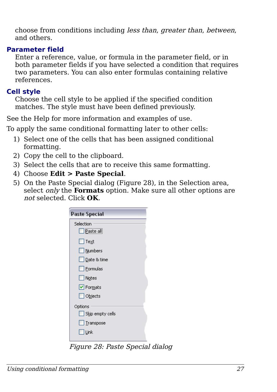choose from conditions including less than, greater than, between, and others.

#### **Parameter field**

Enter a reference, value, or formula in the parameter field, or in both parameter fields if you have selected a condition that requires two parameters. You can also enter formulas containing relative references.

#### **Cell style**

Choose the cell style to be applied if the specified condition matches. The style must have been defined previously.

See the Help for more information and examples of use.

To apply the same conditional formatting later to other cells:

- 1) Select one of the cells that has been assigned conditional formatting.
- 2) Copy the cell to the clipboard.
- 3) Select the cells that are to receive this same formatting.
- 4) Choose **Edit > Paste Special**.
- 5) On the Paste Special dialog [\(Figure 28\)](#page-26-0), in the Selection area, select only the **Formats** option. Make sure all other options are not selected. Click **OK**.

| <b>Paste Special</b>          |  |
|-------------------------------|--|
| Selection<br><b>Paste all</b> |  |
| $\Box$ Text                   |  |
| Numbers                       |  |
| Date & time                   |  |
| Formulas                      |  |
| $\blacksquare$ Notes          |  |
| ☑ Formats                     |  |
| $\Box$ Objects                |  |
| Options                       |  |
| $\Box$ Skip empty cells       |  |
| Transpose                     |  |
| Link                          |  |

<span id="page-26-0"></span>Figure 28: Paste Special dialog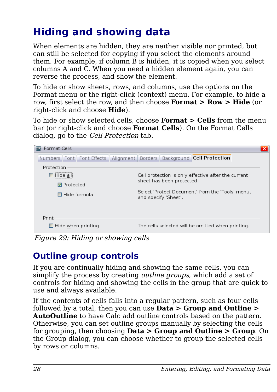# <span id="page-27-1"></span>**Hiding and showing data**

When elements are hidden, they are neither visible nor printed, but can still be selected for copying if you select the elements around them. For example, if column B is hidden, it is copied when you select columns A and C. When you need a hidden element again, you can reverse the process, and show the element.

To hide or show sheets, rows, and columns, use the options on the Format menu or the right-click (context) menu. For example, to hide a row, first select the row, and then choose **Format > Row > Hide** (or right-click and choose **Hide**).

To hide or show selected cells, choose **Format > Cells** from the menu bar (or right-click and choose **Format Cells**). On the Format Cells dialog, go to the *Cell Protection* tab.

| Format Cells                       |                                                                          |  |  |  |  |
|------------------------------------|--------------------------------------------------------------------------|--|--|--|--|
| Numbers   Font   Font Effects      | Alignment   Borders   Background   Cell Protection                       |  |  |  |  |
| Protection                         |                                                                          |  |  |  |  |
| Hide all                           | Cell protection is only effective after the current                      |  |  |  |  |
| <b>☑</b> Protected                 | sheet has been protected.                                                |  |  |  |  |
| Hide formula                       | Select 'Protect Document' from the 'Tools' menu,<br>and specify 'Sheet'. |  |  |  |  |
|                                    |                                                                          |  |  |  |  |
|                                    |                                                                          |  |  |  |  |
| Print<br>$\Box$ Hide when printing | The cells selected will be omitted when printing.                        |  |  |  |  |
|                                    |                                                                          |  |  |  |  |

Figure 29: Hiding or showing cells

### <span id="page-27-0"></span>**Outline group controls**

If you are continually hiding and showing the same cells, you can simplify the process by creating *outline groups*, which add a set of controls for hiding and showing the cells in the group that are quick to use and always available.

If the contents of cells falls into a regular pattern, such as four cells followed by a total, then you can use **Data > Group and Outline > AutoOutline** to have Calc add outline controls based on the pattern. Otherwise, you can set outline groups manually by selecting the cells for grouping, then choosing **Data > Group and Outline > Group**. On the Group dialog, you can choose whether to group the selected cells by rows or columns.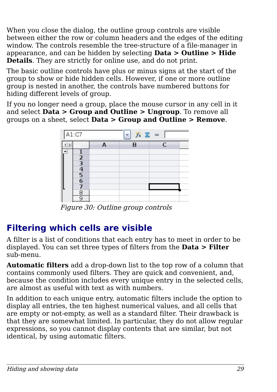When you close the dialog, the outline group controls are visible between either the row or column headers and the edges of the editing window. The controls resemble the tree-structure of a file-manager in appearance, and can be hidden by selecting **Data > Outline > Hide Details**. They are strictly for online use, and do not print.

The basic outline controls have plus or minus signs at the start of the group to show or hide hidden cells. However, if one or more outline group is nested in another, the controls have numbered buttons for hiding different levels of group.

If you no longer need a group, place the mouse cursor in any cell in it and select **Data > Group and Outline > Ungroup**. To remove all groups on a sheet, select **Data > Group and Outline > Remove**.



Figure 30: Outline group controls

### <span id="page-28-0"></span>**Filtering which cells are visible**

A filter is a list of conditions that each entry has to meet in order to be displayed. You can set three types of filters from the **Data > Filter** sub-menu.

**Automatic filters** add a drop-down list to the top row of a column that contains commonly used filters. They are quick and convenient, and, because the condition includes every unique entry in the selected cells, are almost as useful with text as with numbers.

In addition to each unique entry, automatic filters include the option to display all entries, the ten highest numerical values, and all cells that are empty or not-empty, as well as a standard filter. Their drawback is that they are somewhat limited. In particular, they do not allow regular expressions, so you cannot display contents that are similar, but not identical, by using automatic filters.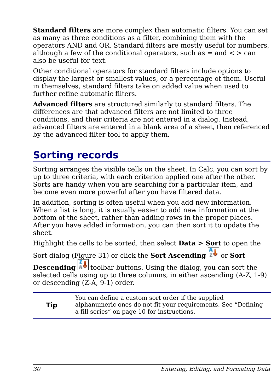**Standard filters** are more complex than automatic filters. You can set as many as three conditions as a filter, combining them with the operators AND and OR. Standard filters are mostly useful for numbers, although a few of the conditional operators, such as  $=$  and  $\lt$   $>$  can also be useful for text.

Other conditional operators for standard filters include options to display the largest or smallest values, or a percentage of them. Useful in themselves, standard filters take on added value when used to further refine automatic filters.

**Advanced filters** are structured similarly to standard filters. The differences are that advanced filters are not limited to three conditions, and their criteria are not entered in a dialog. Instead, advanced filters are entered in a blank area of a sheet, then referenced by the advanced filter tool to apply them.

# <span id="page-29-0"></span>**Sorting records**

Sorting arranges the visible cells on the sheet. In Calc, you can sort by up to three criteria, with each criterion applied one after the other. Sorts are handy when you are searching for a particular item, and become even more powerful after you have filtered data.

In addition, sorting is often useful when you add new information. When a list is long, it is usually easier to add new information at the bottom of the sheet, rather than adding rows in the proper places. After you have added information, you can then sort it to update the sheet.

Highlight the cells to be sorted, then select **Data > Sort** to open the

Sort dialog [\(Figure 31\)](#page-30-0) or click the **Sort Ascending 1** or **Sort** 

**Descending t** toolbar buttons. Using the dialog, you can sort the selected cells using up to three columns, in either ascending (A-Z, 1-9) or descending (Z-A, 9-1) order.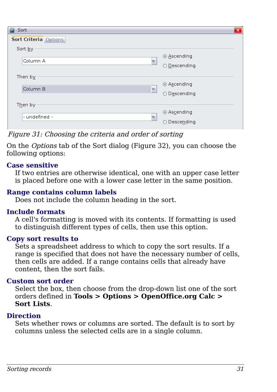| $\overline{z}$<br>Sort | $\overline{\mathbf{x}}$ |
|------------------------|-------------------------|
| Sort Criteria Options  |                         |
| Sort by                |                         |
| v<br>Column A          | ⊙ Ascending             |
|                        | ○ Descending            |
| Then by                |                         |
| ∣√<br>Column B         | ⊙ Ascending             |
|                        | $O$ Descending          |
| Then by                |                         |
| - undefined -<br>v     | ⊙ Ascending             |
|                        | Descending<br>Ω         |

<span id="page-30-0"></span>Figure 31: Choosing the criteria and order of sorting

On the Options tab of the Sort dialog [\(Figure 32\)](#page-31-1), you can choose the following options:

#### **Case sensitive**

If two entries are otherwise identical, one with an upper case letter is placed before one with a lower case letter in the same position.

#### **Range contains column labels**

Does not include the column heading in the sort.

#### **Include formats**

A cell's formatting is moved with its contents. If formatting is used to distinguish different types of cells, then use this option.

#### **Copy sort results to**

Sets a spreadsheet address to which to copy the sort results. If a range is specified that does not have the necessary number of cells, then cells are added. If a range contains cells that already have content, then the sort fails.

#### **Custom sort order**

Select the box, then choose from the drop-down list one of the sort orders defined in **Tools > Options > OpenOffice.org Calc > Sort Lists**.

#### **Direction**

Sets whether rows or columns are sorted. The default is to sort by columns unless the selected cells are in a single column.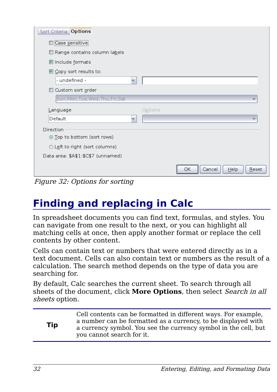| Sort Criteria <b>Options</b>       |   |         |    |        |      |       |
|------------------------------------|---|---------|----|--------|------|-------|
| Case sensitive                     |   |         |    |        |      |       |
| Range contains column labels       |   |         |    |        |      |       |
| $\triangledown$ Include formats    |   |         |    |        |      |       |
| ☑ Copy sort results to:            |   |         |    |        |      |       |
| - undefined -                      | v |         |    |        |      |       |
| Custom sort order<br>$\mathcal{L}$ |   |         |    |        |      |       |
| Sun, Mon, Tue, Wed, Thu, Fri, Sat  |   |         |    |        |      | ᢦ     |
| Language                           |   | Options |    |        |      |       |
| Default                            | v |         |    |        |      | v     |
| Direction                          |   |         |    |        |      |       |
| ⊙ Top to bottom (sort rows)        |   |         |    |        |      |       |
| ◯ Left to right (sort columns)     |   |         |    |        |      |       |
| Data area: \$A\$1:\$C\$7 (unnamed) |   |         |    |        |      |       |
|                                    |   |         | ОК | Cancel | Help | Reset |

<span id="page-31-1"></span>Figure 32: Options for sorting

# <span id="page-31-0"></span>**Finding and replacing in Calc**

In spreadsheet documents you can find text, formulas, and styles. You can navigate from one result to the next, or you can highlight all matching cells at once, then apply another format or replace the cell contents by other content.

Cells can contain text or numbers that were entered directly as in a text document. Cells can also contain text or numbers as the result of a calculation. The search method depends on the type of data you are searching for.

By default, Calc searches the current sheet. To search through all sheets of the document, click **More Options**, then select Search in all sheets option.

**Tip** Cell contents can be formatted in different ways. For example, a number can be formatted as a currency, to be displayed with a currency symbol. You see the currency symbol in the cell, but you cannot search for it.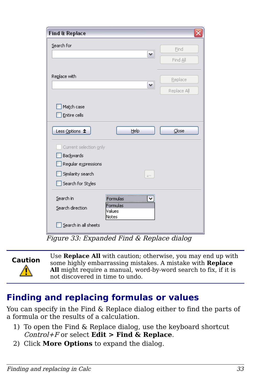| Find & Replace                |                      |             |
|-------------------------------|----------------------|-------------|
| Search for                    |                      | Find        |
|                               | ×                    | Find All    |
|                               |                      |             |
| Replace with                  |                      | Replace     |
|                               | $\checkmark$         | Replace All |
| Match case<br>Entire cells    |                      |             |
| Less Options $\hat{z}$        | Help                 | Close       |
| Current selection only        |                      |             |
| Backwards                     |                      |             |
| Regular expressions           |                      |             |
| Similarity search             | $\mathbb{L}^{++}$    |             |
| Search for Styles             |                      |             |
| Search in<br>Search direction | Formulas<br>Formulas |             |
|                               | Values<br>Notes      |             |
| Search in all sheets          |                      |             |

<span id="page-32-1"></span>Figure 33: Expanded Find & Replace dialog



Use **Replace All** with caution; otherwise, you may end up with **Caution Caution Caution** some highly embarrassing mistakes. A mistake with **Replace All** might require a manual, word-by-word search to fix, if it is not discovered in time to undo.

### <span id="page-32-0"></span>**Finding and replacing formulas or values**

You can specify in the Find & Replace dialog either to find the parts of a formula or the results of a calculation.

- 1) To open the Find & Replace dialog, use the keyboard shortcut Control+F or select **Edit > Find & Replace**.
- 2) Click **More Options** to expand the dialog.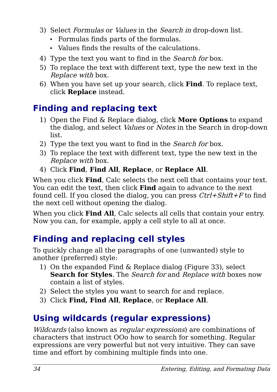- 3) Select Formulas or Values in the Search in drop-down list.
	- Formulas finds parts of the formulas.
	- Values finds the results of the calculations.
- 4) Type the text you want to find in the *Search for* box.
- 5) To replace the text with different text, type the new text in the Replace with box.
- 6) When you have set up your search, click **Find**. To replace text, click **Replace** instead.

### <span id="page-33-2"></span>**Finding and replacing text**

- 1) Open the Find & Replace dialog, click **More Options** to expand the dialog, and select Values or Notes in the Search in drop-down list.
- 2) Type the text you want to find in the *Search for* box.
- 3) To replace the text with different text, type the new text in the Replace with box.
- 4) Click **Find**, **Find All**, **Replace**, or **Replace All**.

When you click **Find**, Calc selects the next cell that contains your text. You can edit the text, then click **Find** again to advance to the next found cell. If you closed the dialog, you can press  $Ctrl + Shift + F$  to find the next cell without opening the dialog.

When you click **Find All**, Calc selects all cells that contain your entry. Now you can, for example, apply a cell style to all at once.

### <span id="page-33-1"></span>**Finding and replacing cell styles**

To quickly change all the paragraphs of one (unwanted) style to another (preferred) style:

- 1) On the expanded Find & Replace dialog [\(Figure 33\)](#page-32-1), select **Search for Styles**. The Search for and Replace with boxes now contain a list of styles.
- 2) Select the styles you want to search for and replace.
- 3) Click **Find, Find All**, **Replace**, or **Replace All**.

### <span id="page-33-0"></span>**Using wildcards (regular expressions)**

Wildcards (also known as *regular expressions*) are combinations of characters that instruct OOo how to search for something. Regular expressions are very powerful but not very intuitive. They can save time and effort by combining multiple finds into one.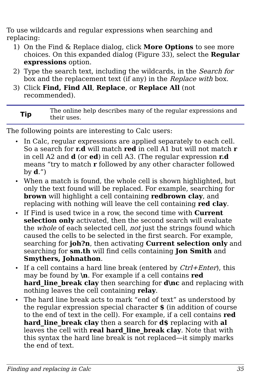To use wildcards and regular expressions when searching and replacing:

- 1) On the Find & Replace dialog, click **More Options** to see more choices. On this expanded dialog [\(Figure 33\)](#page-32-1), select the **Regular expressions** option.
- 2) Type the search text, including the wildcards, in the *Search for* box and the replacement text (if any) in the Replace with box.
- 3) Click **Find, Find All**, **Replace**, or **Replace All** (not recommended).

**Tip** The online help describes many of the regular expressions and their uses their uses.

The following points are interesting to Calc users:

- In Calc, regular expressions are applied separately to each cell. So a search for **r.d** will match **red** in cell A1 but will not match **r** in cell A2 and **d** (or **ed**) in cell A3. (The regular expression **r.d** means "try to match **r** followed by any other character followed by **d**.")
- When a match is found, the whole cell is shown highlighted, but only the text found will be replaced. For example, searching for **brown** will highlight a cell containing **redbrown clay**, and replacing with nothing will leave the cell containing **red clay**.
- If Find is used twice in a row, the second time with **Current selection only** activated, then the second search will evaluate the whole of each selected cell, not just the strings found which caused the cells to be selected in the first search. For example, searching for **joh?n**, then activating **Current selection only** and searching for **sm.th** will find cells containing **Jon Smith** and **Smythers, Johnathon**.
- If a cell contains a hard line break (entered by  $Ctrl + Enter$ ), this may be found by **\n**. For example if a cell contains **red hard line break clay** then searching for **d\nc** and replacing with nothing leaves the cell containing **relay**.
- The hard line break acts to mark "end of text" as understood by the regular expression special character **\$** (in addition of course to the end of text in the cell). For example, if a cell contains **red hard\_line\_break clay** then a search for **d\$** replacing with **al** leaves the cell with **real hard\_line\_break clay**. Note that with this syntax the hard line break is not replaced—it simply marks the end of text.